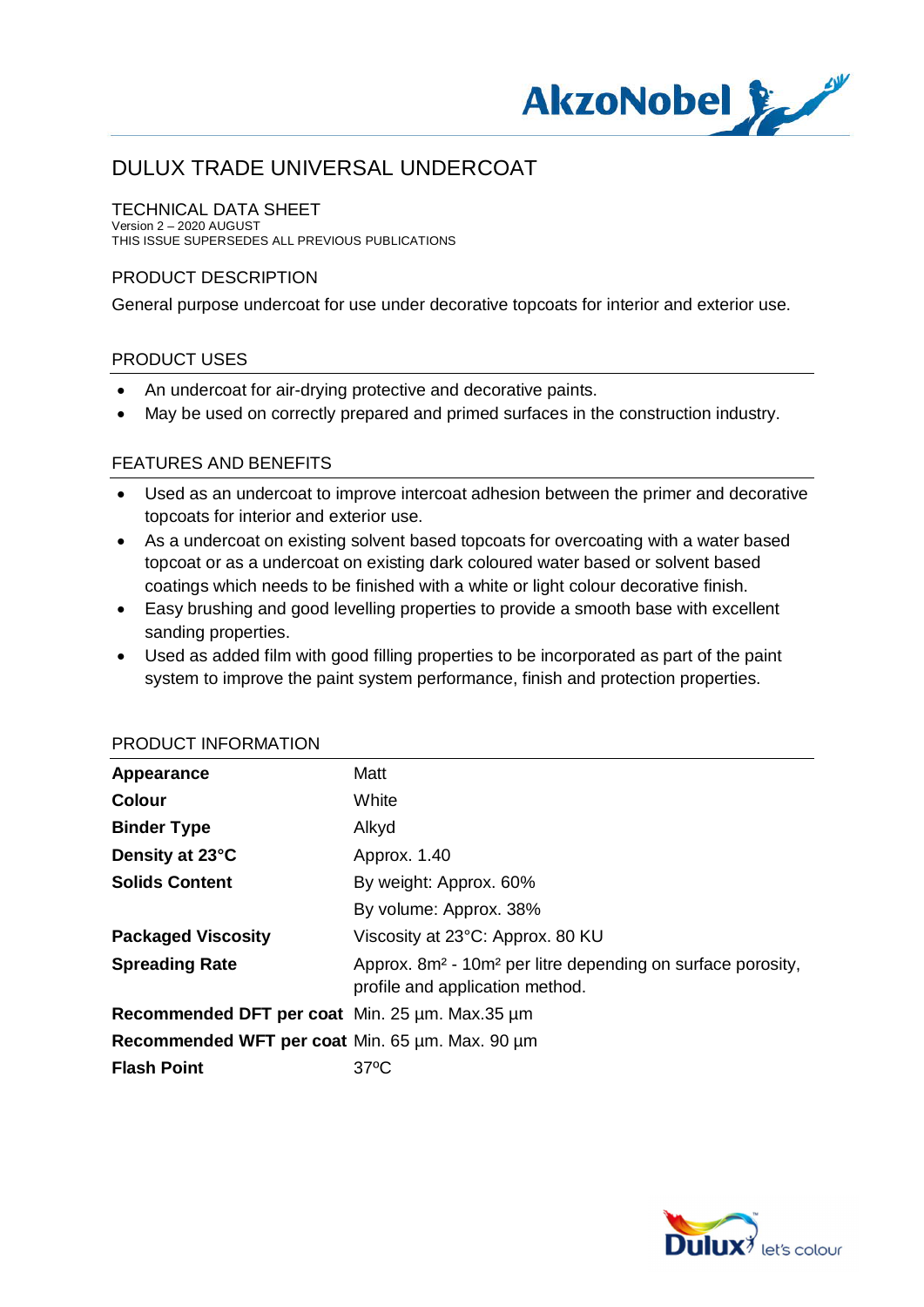

#### TECHNICAL DATA SHEET

Version 2 – 2020 AUGUST THIS ISSUE SUPERSEDES ALL PREVIOUS PUBLICATIONS

#### PRODUCT DESCRIPTION

General purpose undercoat for use under decorative topcoats for interior and exterior use.

### PRODUCT USES

- · An undercoat for air-drying protective and decorative paints.
- · May be used on correctly prepared and primed surfaces in the construction industry.

#### FEATURES AND BENEFITS

- · Used as an undercoat to improve intercoat adhesion between the primer and decorative topcoats for interior and exterior use.
- As a undercoat on existing solvent based topcoats for overcoating with a water based topcoat or as a undercoat on existing dark coloured water based or solvent based coatings which needs to be finished with a white or light colour decorative finish.
- · Easy brushing and good levelling properties to provide a smooth base with excellent sanding properties.
- · Used as added film with good filling properties to be incorporated as part of the paint system to improve the paint system performance, finish and protection properties.

| Appearance                                      | Matt                                                                                                                   |
|-------------------------------------------------|------------------------------------------------------------------------------------------------------------------------|
| <b>Colour</b>                                   | White                                                                                                                  |
| <b>Binder Type</b>                              | Alkyd                                                                                                                  |
| Density at 23°C                                 | Approx. 1.40                                                                                                           |
| <b>Solids Content</b>                           | By weight: Approx. 60%                                                                                                 |
|                                                 | By volume: Approx. 38%                                                                                                 |
| <b>Packaged Viscosity</b>                       | Viscosity at 23°C: Approx. 80 KU                                                                                       |
| <b>Spreading Rate</b>                           | Approx. 8m <sup>2</sup> - 10m <sup>2</sup> per litre depending on surface porosity,<br>profile and application method. |
| Recommended DFT per coat Min. 25 um. Max.35 um  |                                                                                                                        |
| Recommended WFT per coat Min. 65 µm. Max. 90 µm |                                                                                                                        |
| <b>Flash Point</b>                              | $37^{\circ}$ C                                                                                                         |

#### PRODUCT INFORMATION

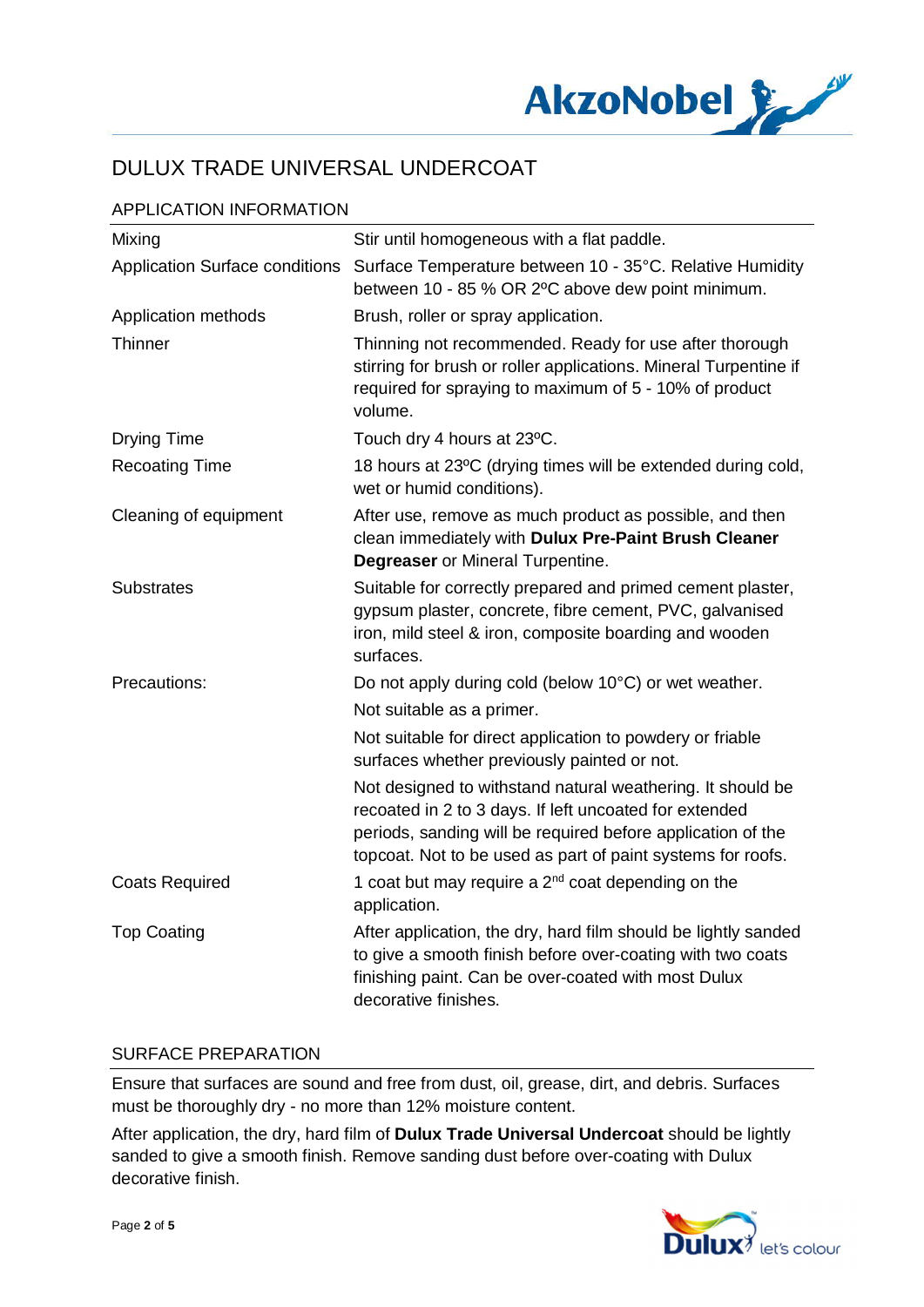

## APPLICATION INFORMATION

| Mixing                                | Stir until homogeneous with a flat paddle.                                                                                                                                                                                                         |
|---------------------------------------|----------------------------------------------------------------------------------------------------------------------------------------------------------------------------------------------------------------------------------------------------|
| <b>Application Surface conditions</b> | Surface Temperature between 10 - 35°C. Relative Humidity<br>between 10 - 85 % OR 2°C above dew point minimum.                                                                                                                                      |
| Application methods                   | Brush, roller or spray application.                                                                                                                                                                                                                |
| Thinner                               | Thinning not recommended. Ready for use after thorough<br>stirring for brush or roller applications. Mineral Turpentine if<br>required for spraying to maximum of 5 - 10% of product<br>volume.                                                    |
| <b>Drying Time</b>                    | Touch dry 4 hours at 23°C.                                                                                                                                                                                                                         |
| <b>Recoating Time</b>                 | 18 hours at 23°C (drying times will be extended during cold,<br>wet or humid conditions).                                                                                                                                                          |
| Cleaning of equipment                 | After use, remove as much product as possible, and then<br>clean immediately with Dulux Pre-Paint Brush Cleaner<br><b>Degreaser</b> or Mineral Turpentine.                                                                                         |
| <b>Substrates</b>                     | Suitable for correctly prepared and primed cement plaster,<br>gypsum plaster, concrete, fibre cement, PVC, galvanised<br>iron, mild steel & iron, composite boarding and wooden<br>surfaces.                                                       |
| Precautions:                          | Do not apply during cold (below 10°C) or wet weather.                                                                                                                                                                                              |
|                                       | Not suitable as a primer.                                                                                                                                                                                                                          |
|                                       | Not suitable for direct application to powdery or friable<br>surfaces whether previously painted or not.                                                                                                                                           |
|                                       | Not designed to withstand natural weathering. It should be<br>recoated in 2 to 3 days. If left uncoated for extended<br>periods, sanding will be required before application of the<br>topcoat. Not to be used as part of paint systems for roofs. |
| <b>Coats Required</b>                 | 1 coat but may require a $2nd$ coat depending on the<br>application.                                                                                                                                                                               |
| <b>Top Coating</b>                    | After application, the dry, hard film should be lightly sanded<br>to give a smooth finish before over-coating with two coats<br>finishing paint. Can be over-coated with most Dulux<br>decorative finishes.                                        |

#### SURFACE PREPARATION

Ensure that surfaces are sound and free from dust, oil, grease, dirt, and debris. Surfaces must be thoroughly dry - no more than 12% moisture content.

After application, the dry, hard film of **Dulux Trade Universal Undercoat** should be lightly sanded to give a smooth finish. Remove sanding dust before over-coating with Dulux decorative finish.

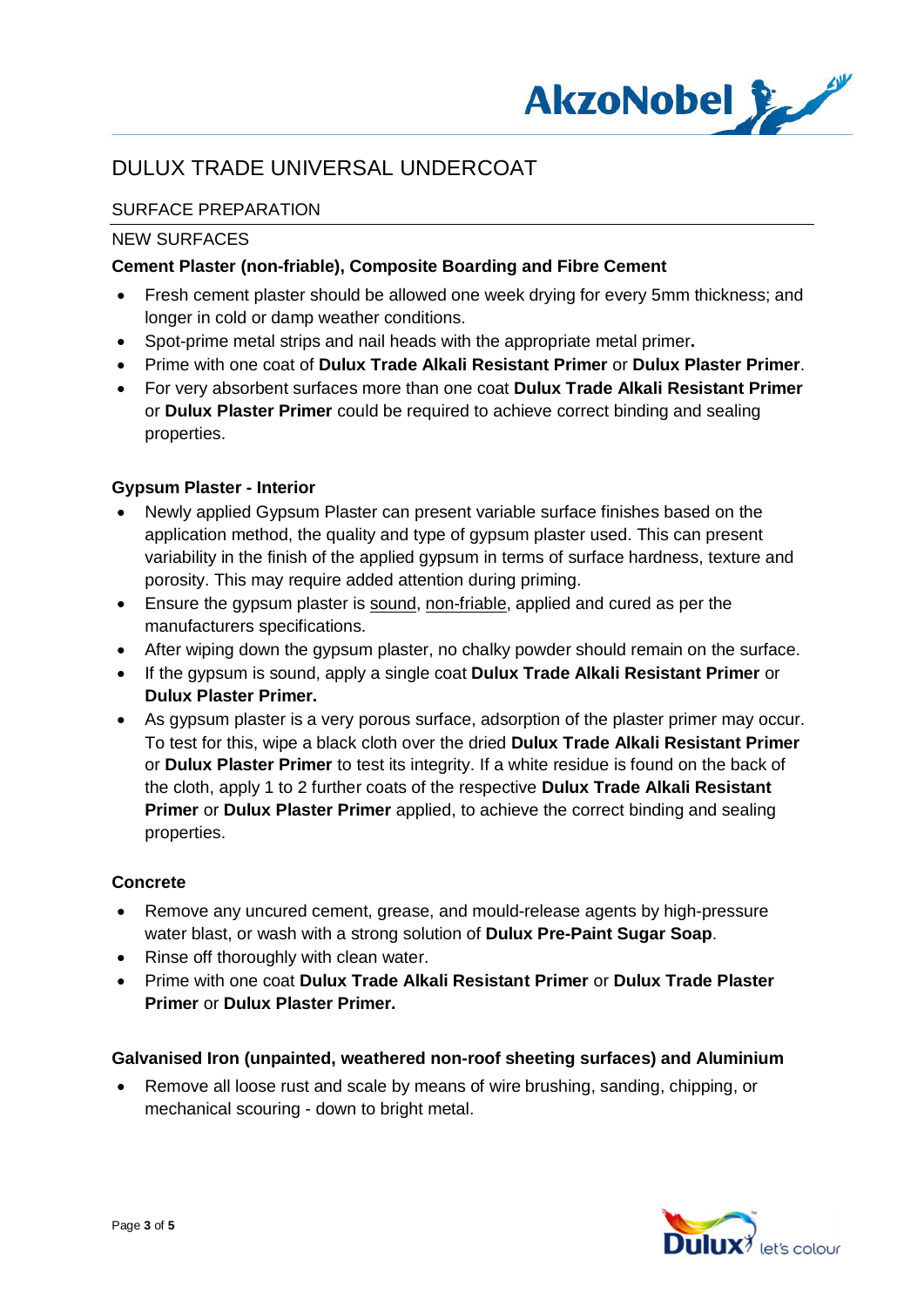

## SURFACE PREPARATION

#### NEW SURFACES

### **Cement Plaster (non-friable), Composite Boarding and Fibre Cement**

- · Fresh cement plaster should be allowed one week drying for every 5mm thickness; and longer in cold or damp weather conditions.
- · Spot-prime metal strips and nail heads with the appropriate metal primer**.**
- · Prime with one coat of **Dulux Trade Alkali Resistant Primer** or **Dulux Plaster Primer**.
- · For very absorbent surfaces more than one coat **Dulux Trade Alkali Resistant Primer** or **Dulux Plaster Primer** could be required to achieve correct binding and sealing properties.

### **Gypsum Plaster - Interior**

- · Newly applied Gypsum Plaster can present variable surface finishes based on the application method, the quality and type of gypsum plaster used. This can present variability in the finish of the applied gypsum in terms of surface hardness, texture and porosity. This may require added attention during priming.
- · Ensure the gypsum plaster is sound, non-friable, applied and cured as per the manufacturers specifications.
- · After wiping down the gypsum plaster, no chalky powder should remain on the surface.
- · If the gypsum is sound, apply a single coat **Dulux Trade Alkali Resistant Primer** or **Dulux Plaster Primer.**
- · As gypsum plaster is a very porous surface, adsorption of the plaster primer may occur. To test for this, wipe a black cloth over the dried **Dulux Trade Alkali Resistant Primer** or **Dulux Plaster Primer** to test its integrity. If a white residue is found on the back of the cloth, apply 1 to 2 further coats of the respective **Dulux Trade Alkali Resistant Primer** or **Dulux Plaster Primer** applied, to achieve the correct binding and sealing properties.

#### **Concrete**

- · Remove any uncured cement, grease, and mould-release agents by high-pressure water blast, or wash with a strong solution of **Dulux Pre-Paint Sugar Soap**.
- Rinse off thoroughly with clean water.
- · Prime with one coat **Dulux Trade Alkali Resistant Primer** or **Dulux Trade Plaster Primer** or **Dulux Plaster Primer.**

#### **Galvanised Iron (unpainted, weathered non-roof sheeting surfaces) and Aluminium**

· Remove all loose rust and scale by means of wire brushing, sanding, chipping, or mechanical scouring - down to bright metal.

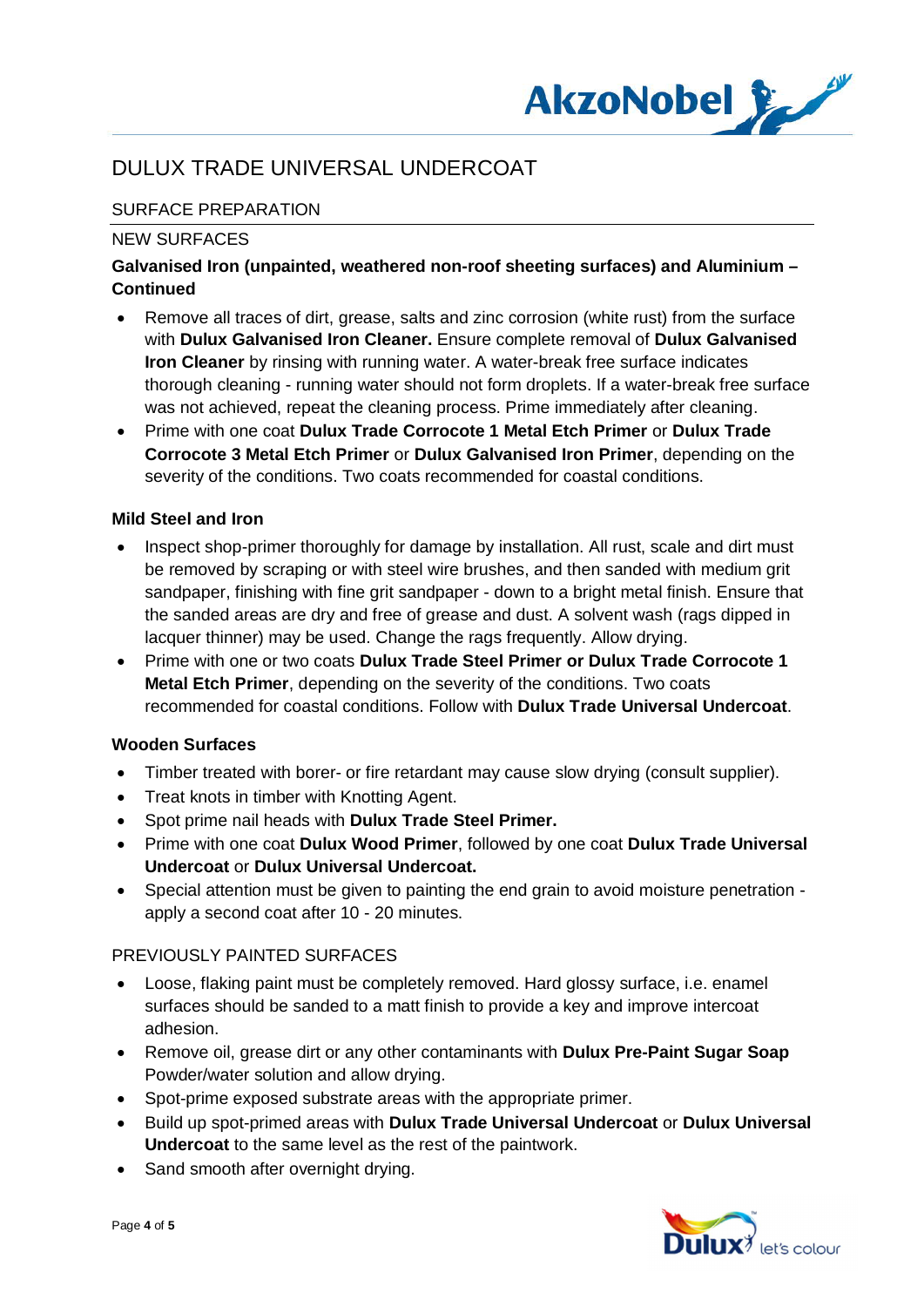

## SURFACE PREPARATION

### NEW SURFACES

## **Galvanised Iron (unpainted, weathered non-roof sheeting surfaces) and Aluminium – Continued**

- · Remove all traces of dirt, grease, salts and zinc corrosion (white rust) from the surface with **Dulux Galvanised Iron Cleaner.** Ensure complete removal of **Dulux Galvanised Iron Cleaner** by rinsing with running water. A water-break free surface indicates thorough cleaning - running water should not form droplets. If a water-break free surface was not achieved, repeat the cleaning process. Prime immediately after cleaning.
- · Prime with one coat **Dulux Trade Corrocote 1 Metal Etch Primer** or **Dulux Trade Corrocote 3 Metal Etch Primer** or **Dulux Galvanised Iron Primer**, depending on the severity of the conditions. Two coats recommended for coastal conditions.

### **Mild Steel and Iron**

- Inspect shop-primer thoroughly for damage by installation. All rust, scale and dirt must be removed by scraping or with steel wire brushes, and then sanded with medium grit sandpaper, finishing with fine grit sandpaper - down to a bright metal finish. Ensure that the sanded areas are dry and free of grease and dust. A solvent wash (rags dipped in lacquer thinner) may be used. Change the rags frequently. Allow drying.
- · Prime with one or two coats **Dulux Trade Steel Primer or Dulux Trade Corrocote 1 Metal Etch Primer**, depending on the severity of the conditions. Two coats recommended for coastal conditions. Follow with **Dulux Trade Universal Undercoat**.

### **Wooden Surfaces**

- · Timber treated with borer- or fire retardant may cause slow drying (consult supplier).
- · Treat knots in timber with Knotting Agent.
- · Spot prime nail heads with **Dulux Trade Steel Primer.**
- · Prime with one coat **Dulux Wood Primer**, followed by one coat **Dulux Trade Universal Undercoat** or **Dulux Universal Undercoat.**
- · Special attention must be given to painting the end grain to avoid moisture penetration apply a second coat after 10 - 20 minutes.

### PREVIOUSLY PAINTED SURFACES

- · Loose, flaking paint must be completely removed. Hard glossy surface, i.e. enamel surfaces should be sanded to a matt finish to provide a key and improve intercoat adhesion.
- · Remove oil, grease dirt or any other contaminants with **Dulux Pre-Paint Sugar Soap** Powder/water solution and allow drying.
- Spot-prime exposed substrate areas with the appropriate primer.
- · Build up spot-primed areas with **Dulux Trade Universal Undercoat** or **Dulux Universal Undercoat** to the same level as the rest of the paintwork.
- Sand smooth after overnight drying.